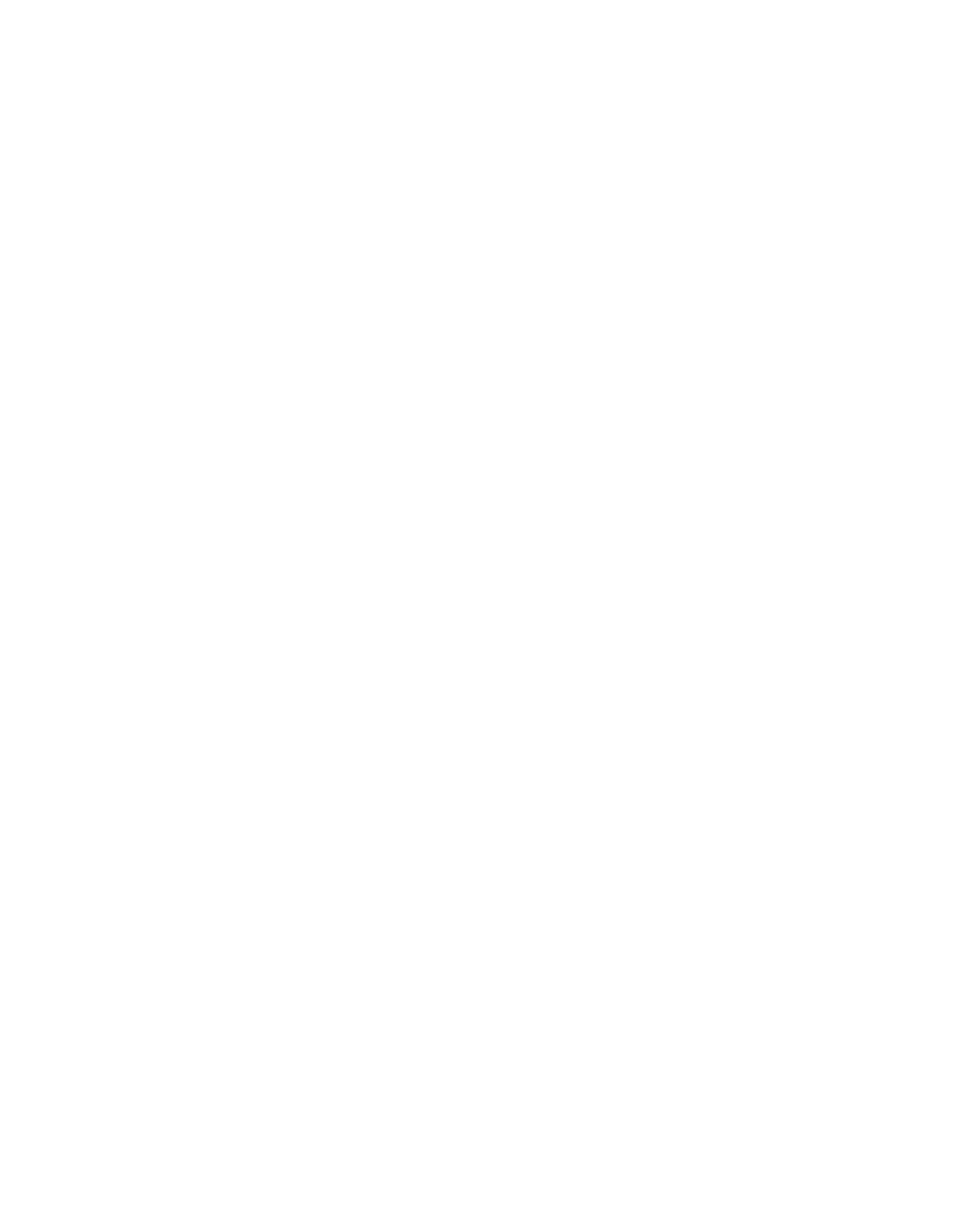## **THE UNIVERSITY OF NORTH CAROLINA ASHEVILLE ("UNC ASHEVILLE") RESOLUTION 1021-5 TO AMEND AND RESTATE DELEGATED AUTHORITY**

**WHEREAS**, the Board of Trustees of UNC Asheville ("Board of Trustees") has a statutory duty to promote the sound development of UNC Asheville ("University" or "UNC Asheville") within the functions prescribed for it, helping it to serve the State in a way that will complement the activities of the other institutions and aiding it to perform at a high level of excellence in every area of endeavor; and

**WHEREAS**, the Board of Trustees serves as an advisor to the Board of Governors on matters pertaining to UNC Asheville and serves as an advisor to the Chancellor concerning the management and development of UNC Asheville; and

**WHEREAS**, the Board of Trustees' powers and duties, not inconsistent with Article 1 of Chapter 116 of the North Carolina General Statutes ("NCGS") are defined and delegated by the Board of Governors; and

**WHEREAS**, the Board of Governors' approval of the "Resolution to Amend and Restate Constituent Institution Board of Trustees Delegations" on July 22, 2021, directs the Board of Trustees to identify and restate in one binding resolution all instances in which the Board of Trustees has delegated all or some of its delegated authority from whatever source to any committee, person, agency, or entity.

**NOW, THEREFORE BE IT RESOLVED THAT**, the Executive and Governance Committee, on behalf of the Board of Trustees of the University of North Carolina Asheville, restates or adopts the following delegations of authority:

- Pursuant to NCGS §116-31.12, the Board of Trustees has been delegated the power to authorize the acquisition or disposition of real property by lease. The UNC Asheville Chancellor and the Vice Chancellor for Budget and Finance have been delegated authority to actively identify and pursue opportunities for acquisition of interests in real property. The Board of Trustees has authorized the UNC Asheville Chancellor, or her delegate, after consultation with the Board Chair and Executive Committee, to enter Offers to Purchase or other contractual agreements for the acquisition of interests in real property. This delegation was accomplished by the Board of Trustees Resolution 0220-3, "Resolution to Authorize Certain Real Property Acquisition Activities."
- Pursuant to NCGS §116-40.5, the Board of Trustees has been delegated the power to establish a campus law enforcement agency, employ campus police officers, and enter joint agreements with any municipality, county, or other constituent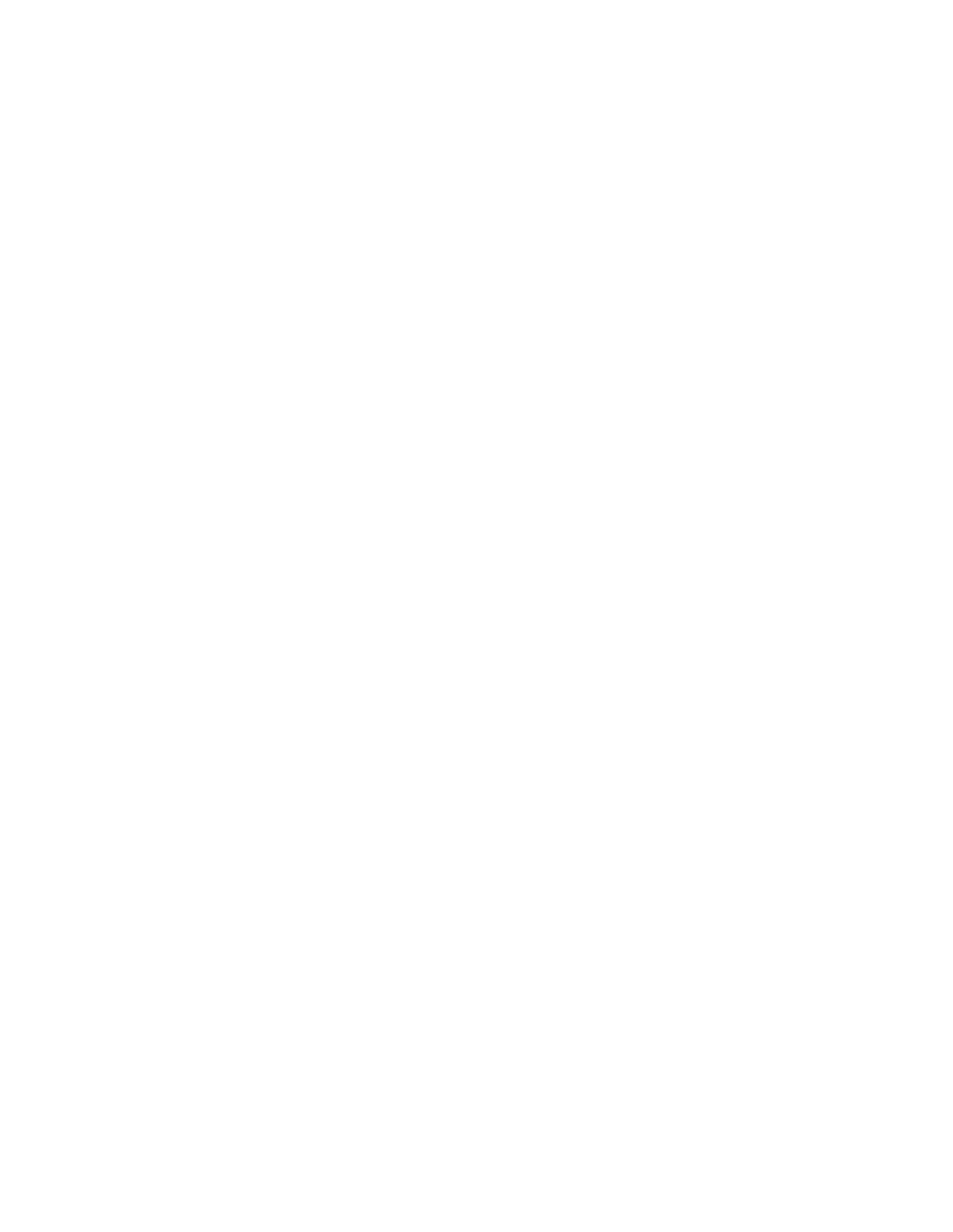institution to extend law enforcement jurisdiction under specified circumstances. This authority has been delegated to and is fulfilled by the Chancellor pursuant to UNC *Code*, Appendix I(XV), which provides that the Chancellor shall be responsible for the maintenance of campus security.

- Pursuant to NCGS §116-40.22(b), the Board of Trustees has been delegated the power to appoint and fix the compensation of all vice chancellors, senior academic administrative officers, and any person having permanent tenure at that institution. This authority has been delegated to the Chancellor for all deans and senior academic and administrative officers for which the UNC Board of Governors does not establish salary ranges, via the UNC Asheville Management Flexibility Plan.
- Pursuant to Section 502D of the UNC *Code*, the Board of Trustees has been delegated the power to hear appeals in student conduct cases where the sanction is suspension or expulsion. This authority has been delegated to the Board's Student Affairs and Enrollment Committee via the Student Affairs and Enrollment Committee Charter.
- Pursuant to Section II(A)(1) of Appendix 1 of the UNC *Code*, the Board of Trustees has been delegated the power to appoint, promote, and set the compensation for such employees exempt from the State Human Resources Act, except the position of the Chancellor. This authority has been delegated to the Chancellor for all deans and senior academic and administrative officers for which the UNC Board of Governors does not establish salary ranges, via the UNC Asheville Management Flexibility Plan.
- Pursuant to Section II(A)(2) of Appendix 1 of the UNC *Code*, the Board of Trustees has been delegated the power to promote in rank a faculty member with permanent tenure. This authority has been delegated to the Chancellor via the UNC Asheville Management Flexibility Plan.
- Pursuant to Section III of Appendix 1 of the UNC *Code*, the Board of Trustees has been delegated the powers to determine whether an individual student shall be entitled to receipt of a particular degree and determine what grade a student will be assigned in a particular course. These authorities have been delegated to the UNC Asheville faculty through the UNC Asheville Faculty Senate, as reflected within the Constitution of the Faculty Senate of UNC Asheville.
- Pursuant to Section VI of Appendix 1 of the UNC *Code*, the Board of Trustees has been delegated the power to authorize acquisition or disposition of any interest in real property other than a leasehold with a value less than \$500,000, or acquisition or disposition of a leasehold interest in real property with an annual value less than \$500,000 and a term of not more than 10 years. The UNC Asheville Chancellor and the Vice Chancellor for Budget and Finance have been delegated authority to actively identify and pursue opportunities for acquisition of interests in real property. The Board of Trustees has authorized the UNC Asheville Chancellor, or her delegate, after consultation with the Board Chair and Executive Committee, to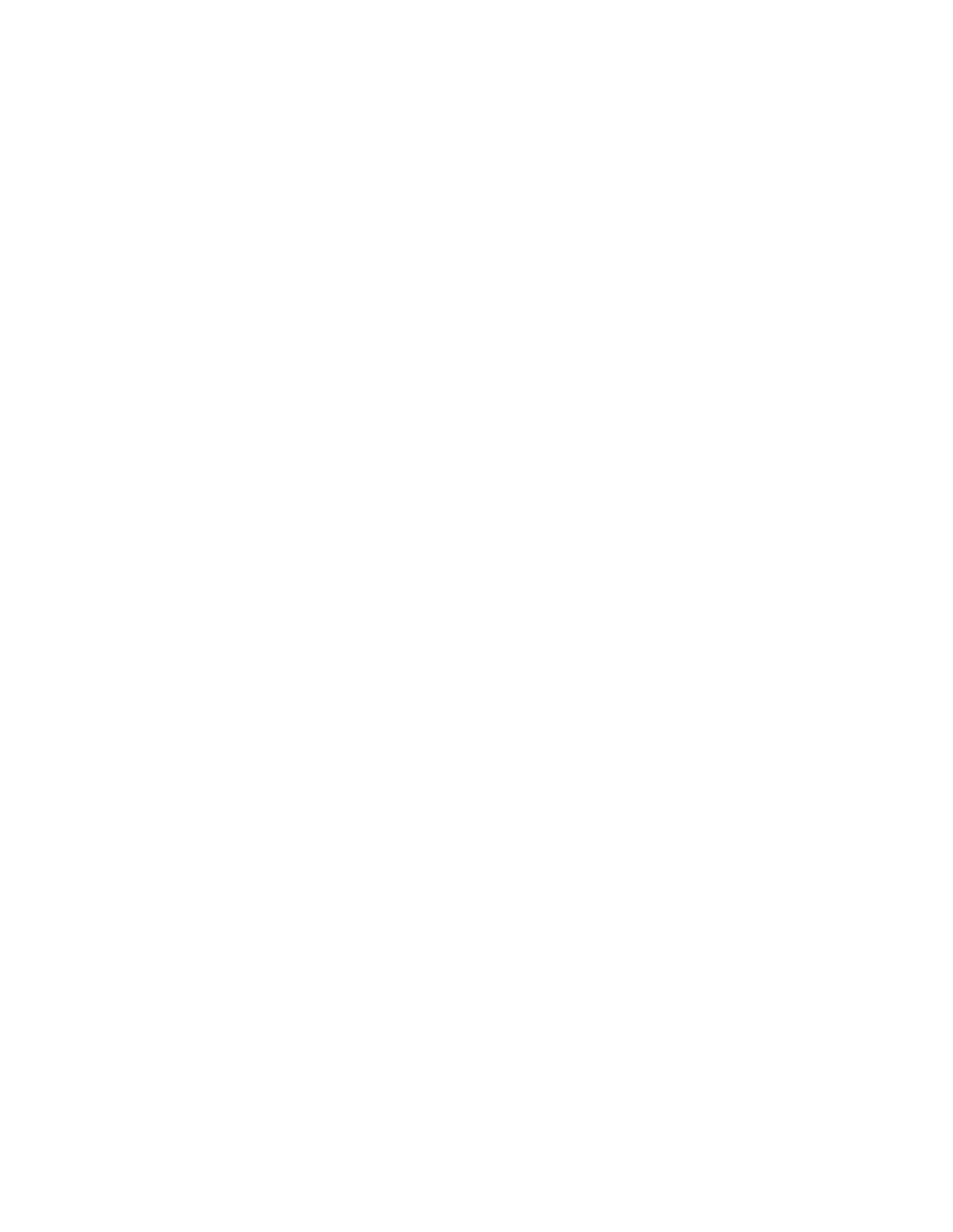enter Offers to Purchase or other contractual agreements for the acquisition of interests in real property. This delegation was accomplished by the Board of Trustees Resolution 0220-3, "Resolution to Authorize Certain Real Property Acquisition Activities."

- Pursuant to UNC Policy 200.1(5)(c)(iv)(5), the Board of Trustees has been delegated the power to find that a contract implicating the restrictions of UNC Policy  $200.1(5)(c)(iii)$  is in the best interest of the University. This authority is delegated to the Board's Audit and Risk Management Committee.
- Pursuant to UNC Policy 200.1(5)(d)(i), the Board of Trustees has been delegated the power to designate a standing committee to determine whether a potential conflict of interest is a permissible or impermissible activity and to make recommended findings as to whether UNC Policy 200.1 has been violated. This authority is delegated to the Board's Audit and Risk Management Committee.
- Pursuant to UNC Policy 300.1.1(III), the Board of Trustees has been delegated the power to make appointments and determine salaries for Senior Academic and Administrative Officers Tier II positions. Final appointment authority for SAAO Tier II positions has been delegated to the Provost and Division Senior Officers via UNC Asheville's Management Flexibility Plan.
- Pursuant to UNC Policy 500.2, the Board of Trustees has been delegated the power to adopt patent procedures and determine the proportion of gross royalties received by an inventor derived from licensing or income from assignment or sale of each patent resulting from an invention owned by the constituent institution. This authority has been delegated to the UNC Asheville Intellectual Property Committee via the UNC Asheville Copyright Use and Ownership Policy.
- Pursuant to UNC Policy 600.1.3(II)(B) and (C), the Board of Trustees has been delegated the power to authorize acquisition or disposition any interest in real property, other than a leasehold, with a value less than \$500,000; and a leasehold interest in real property with annual value less than \$500,000 and a term of not more than 10 years. The Board of Trustees has authorized the UNC Asheville Chancellor, or her delegate, after consultation with the Board Chair and Executive Committee, to enter Offers to Purchase or other contractual agreements for the acquisition of interests in real property. This delegation was accomplished by the Board of Trustees Resolution 0220-3, "Resolution to Authorize Certain Real Property Acquisition Activities."
- Pursuant to UNC Policy 600.1.3(III)(B), the Board of Trustees has been delegated the power to acquire and dispose of an interest in real property other than a lease if valued at less than \$1,000,000, and/or to acquire and dispose of real property by lease if the lease is valued annually at less than \$750,000 and has a term of not more than 10 years. The Board of Trustees has authorized the UNC Asheville Chancellor, or her delegate, after consultation with the Board Chair and Executive Committee, to enter Offers to Purchase or other contractual agreements for the acquisition of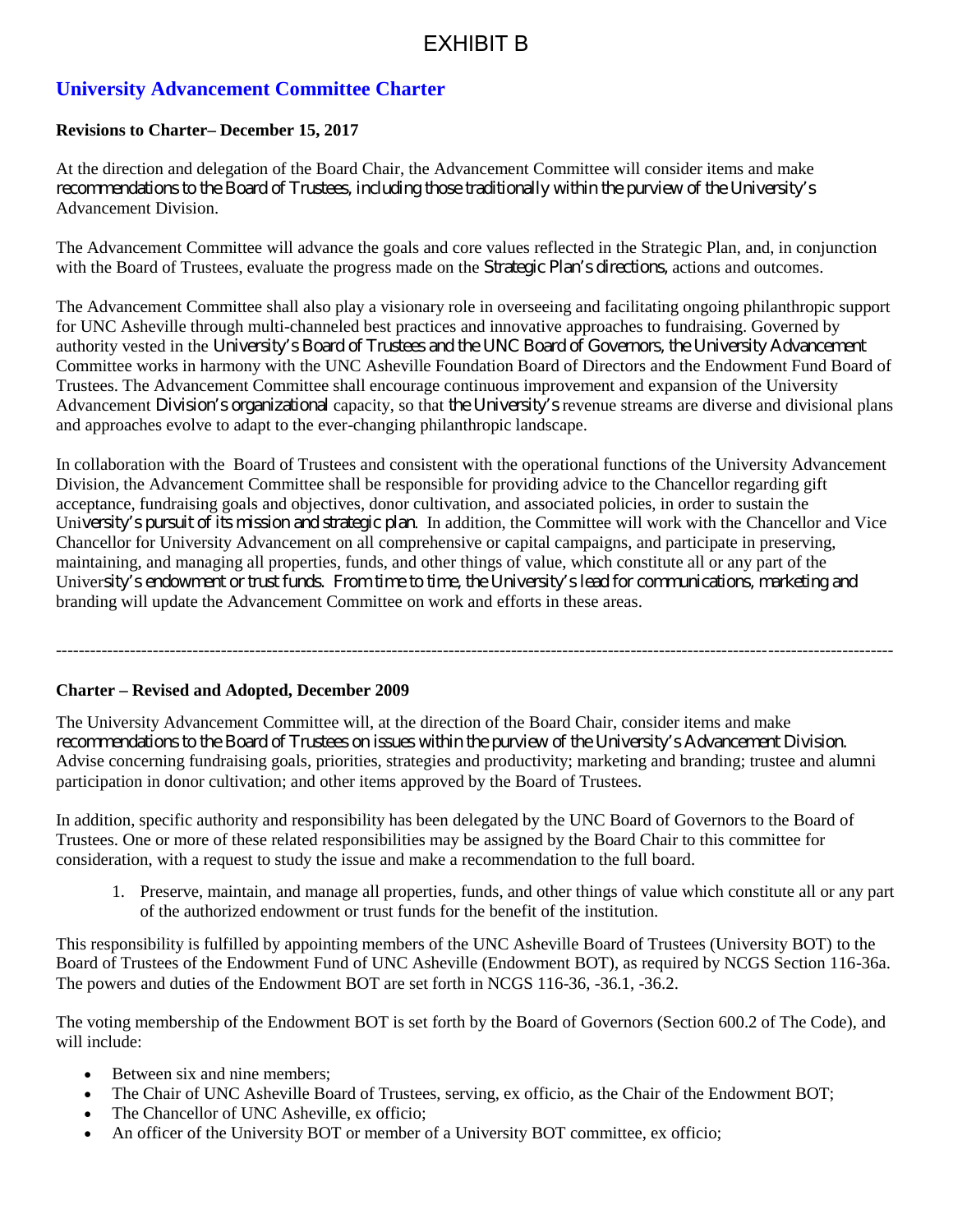interests in real property. This delegation was accomplished by the Board of Trustees Resolution 0220-3, "Resolution to Authorize Certain Real Property Acquisition Activities."

- Pursuant to UNC Regulation 600.1.3[R](IV), the Board of Trustees has been delegated the power to approve certain acquisitions or dispositions of real property by lease. The Board of Trustees has authorized the UNC Asheville Chancellor, or her delegate, after consultation with the Board Chair and Executive Committee, to enter Offers to Purchase or other contractual agreements for the acquisition of interests in real property. This delegation was accomplished by the Board of Trustees Resolution 0220-3, "Resolution to Authorize Certain Real Property Acquisition Activities."
- Pursuant to UNC Policy 600.2.5, Regulation 600.5.2.5[R], and Guideline 600.2.5.1[G], the Board of Trustees has been delegated the power to receive annual independent financial audit reports from each of the private foundations, associations, or clubs whose primary purpose is to provide financial support to the institution. This authority has been delegated to the Board's Audit and Risk Management Committee via the Audit and Risk Management Committee Charter.
- Pursuant to UNC Policy 600.3.4, the Board of Trustees has been delegated the power to approve permanent and temporary appointments and salaries; promotion, including faculty rank changes but excluding tenure; and permanent and temporary salary increases or stipends for faculty and EHRA non-faculty instructional, research, and public service employees. This authority has been delegated to the Chancellor via UNC Asheville's Management Flexibility Plan.
- Pursuant to UNC Policy 600.3.4, the Board of Trustees has been delegated the powers to (i) appoint and fix the salary and non-salary compensation for all vice chancellors and other Tier 1 senior academic and administrative officers with the exclusion of the Chancellor; (ii) approve appointments and salary changes for SAAO Tier 1 appointments, with the exclusion of the Chancellor; (iii) establish salary ranges for SAAO Tier 2 positions; and (iv) confer permanent tenure. The Chancellor has been delegated authority to appoint, fix the salary and non-salary compensation, and approve salary changes for Tier 1 SAAO other than vice chancellors; and establish salary ranges for SAAO Tier 2 positions via UNC Asheville's Management Flexibility Plan.
- Pursuant to UNC Policy 600.3.4, the Board of Trustees has been delegated the powers to establish faculty salary ranges; appoint and fix the compensation for faculty awarded the designation of distinguished professors; and establish instructional, research, and public service employee positions and salary ranges. These authorities have been delegated to the Chancellor via UNC Asheville's Management Flexibility Plan.
- Pursuant to UNC Policy 1100.1, the Board of Trustees has been delegated the authority to receive the UNC Asheville annual intercollegiate athletics report. This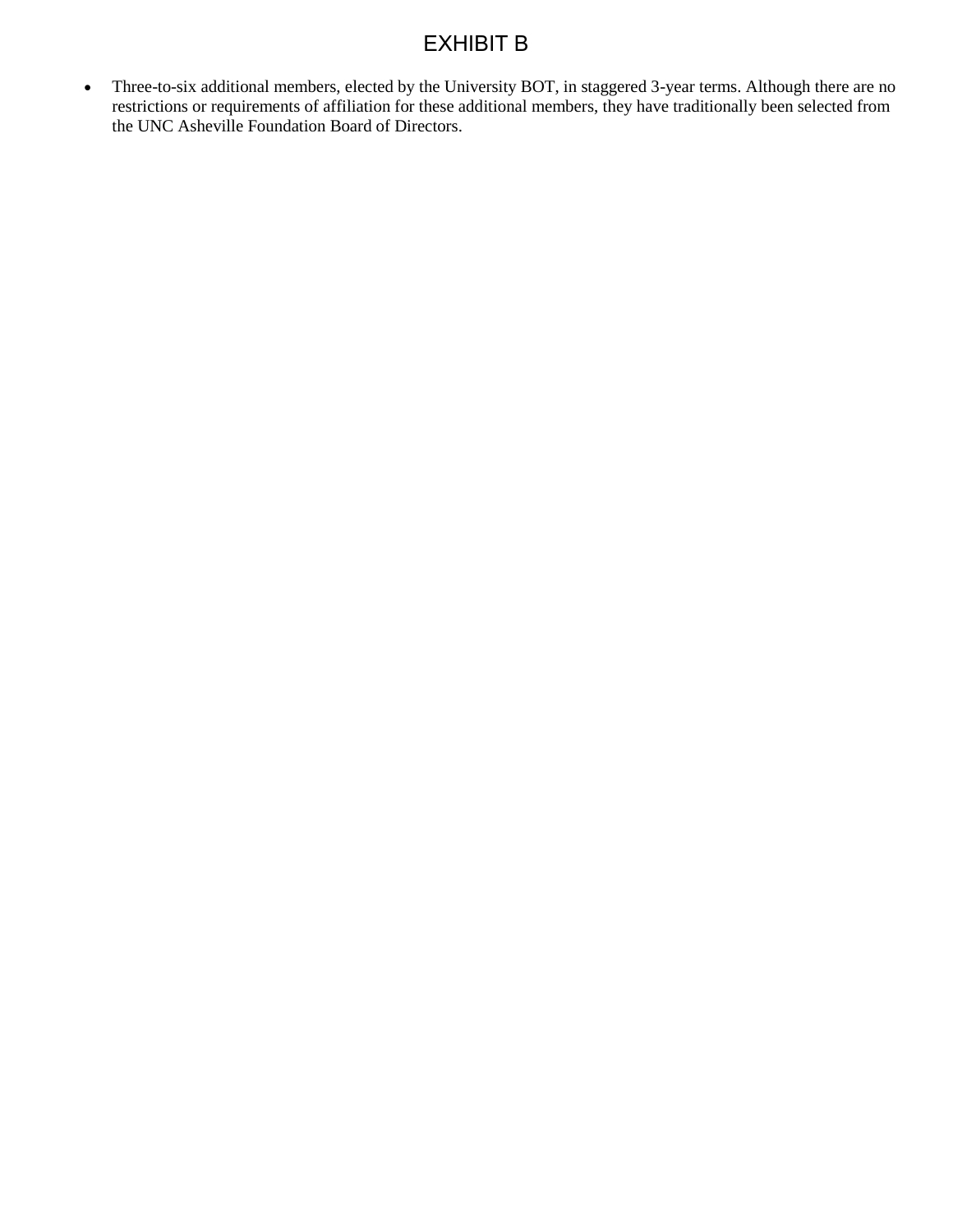authority has been delegated to the Board's Athletics Committee via the Athletics Committee Charter.

- Pursuant to UNC Regulation 1100.1[R], the Board of Trustees has been delegated the authority to receive and review the annual institutional budget for intercollegiate athletics, including major sources of revenue and expenses. This authority has been delegated to the Board's Athletics Committee via the Athletics Committee Charter.
- Pursuant to UNC Policy 1300.1, the Board of Trustees has been delegated the authority to adopt a policy on illegal drugs applicable to all students, faculty and staff. This authority has been delegated to the Chancellor via the UNC Asheville Illegal Drugs Policy.
- Pursuant to UNC Policy 1400.1, the Board of Trustees has been delegated the power to assign responsibility for oversight of information technology governance to a standing committee of the Board with audit responsibility. This responsibility has been assigned to the Board's Audit and Risk Management Committee via the Audit and Risk Management Committee Charter.
- Pursuant to UNC Policy 1400.2, the Board of Trustees has been delegated the power to assign responsibility for oversight of the institution's information security program to a standing committee of the Board with audit responsibility. This responsibility has been assigned to the Board's Audit and Risk Management Committee via the Audit and Risk Management Committee Charter.
- In addition to the duties, responsibilities, and authorities assigned to the Chancellor by the Board of Governors through Section 502 of The Code of the University of North Carolina, and pursuant to N.C.G.S. § 116-31.10 (Powers of Board regarding certain purchasing contracts), the Board of Trustees hereby delegates to the Chancellor full authority, or affirms the Chancellor's inherent authority to sign or execute, or to designate University employees to sign or execute, agreements, contracts, leases, and other official documents with institutions, agencies, corporations, partnerships, individuals, and other legal entities, including all such agreements not required by law or administrative regulation to be otherwise executed; provided, however, that such agreements shall comply with the law of North Carolina, especially the North Carolina General Statutes 143 and 146, when applicable, and with The Code of the University of North Carolina, and policies determined by the Board of Governors or the Board of Trustees. Campus officials designed by the Chancellor to sign official documents on behalf of the University as of the date of this Resolution are found in UNCA Policy 3007: University Contract Policy and supplemental Contract Delegation for Signature Authority.
- Further, all delegations prescribed herein or in the future, may be further delegated consistent with: (1) UNCA's Master Delegation Table which is attached hereto and incorporated by reference as Exhibit A, (2) UNCA's Board of Trustee Committee Charters which are attached hereto and incorporated by reference as Exhibit B, (3)